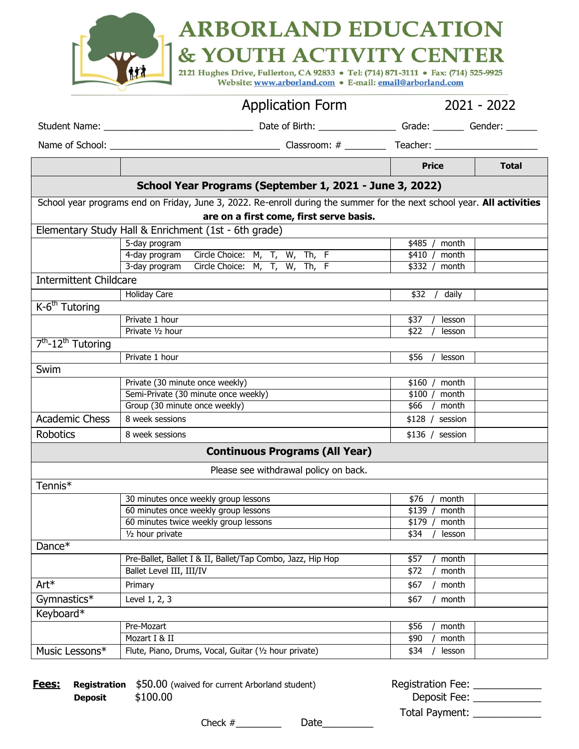|                                 | <b>ARBORLAND EDUCATION</b><br>& YOUTH ACTIVITY CENTER<br>2121 Hughes Drive, Fullerton, CA 92833 • Tel: (714) 871-3111 • Fax: (714) 525-9925<br>Website: www.arborland.com . E-mail: email@arborland.com |          |             |  |
|---------------------------------|---------------------------------------------------------------------------------------------------------------------------------------------------------------------------------------------------------|----------|-------------|--|
|                                 | <b>Application Form</b>                                                                                                                                                                                 |          | 2021 - 2022 |  |
| Student Name: The Student Name: | Date of Birth: Note of Birth:                                                                                                                                                                           | Grade:   | Gender:     |  |
| Name of School:                 | Classroom: #                                                                                                                                                                                            | Teacher: |             |  |

|                                                         |                                                                                                                        | <b>Price</b>          | <b>Total</b> |  |
|---------------------------------------------------------|------------------------------------------------------------------------------------------------------------------------|-----------------------|--------------|--|
| School Year Programs (September 1, 2021 - June 3, 2022) |                                                                                                                        |                       |              |  |
|                                                         | School year programs end on Friday, June 3, 2022. Re-enroll during the summer for the next school year. All activities |                       |              |  |
|                                                         | are on a first come, first serve basis.                                                                                |                       |              |  |
|                                                         | Elementary Study Hall & Enrichment (1st - 6th grade)                                                                   |                       |              |  |
|                                                         | 5-day program                                                                                                          | \$485<br>month        |              |  |
|                                                         | 4-day program<br>Circle Choice: M, T, W, Th, F                                                                         | \$410<br>month        |              |  |
|                                                         | Circle Choice: M, T, W, Th, F<br>3-day program                                                                         | \$332<br>month        |              |  |
| <b>Intermittent Childcare</b>                           |                                                                                                                        |                       |              |  |
|                                                         | <b>Holiday Care</b>                                                                                                    | \$32<br>daily         |              |  |
| $K-6^{th}$ Tutoring                                     |                                                                                                                        |                       |              |  |
|                                                         | Private 1 hour                                                                                                         | \$37<br>lesson        |              |  |
|                                                         | Private 1/2 hour                                                                                                       | $\sqrt{22}$<br>lesson |              |  |
| 7 <sup>th</sup> -12 <sup>th</sup> Tutoring              |                                                                                                                        |                       |              |  |
|                                                         | Private 1 hour                                                                                                         | \$56<br>lesson        |              |  |
| Swim                                                    |                                                                                                                        |                       |              |  |
|                                                         | Private (30 minute once weekly)                                                                                        | \$160<br>month        |              |  |
|                                                         | Semi-Private (30 minute once weekly)                                                                                   | \$100<br>month        |              |  |
|                                                         | Group (30 minute once weekly)                                                                                          | \$66<br>month         |              |  |
| <b>Academic Chess</b>                                   | 8 week sessions                                                                                                        | \$128/<br>session     |              |  |
| <b>Robotics</b>                                         | 8 week sessions<br>$$136 /$ session                                                                                    |                       |              |  |
| <b>Continuous Programs (All Year)</b>                   |                                                                                                                        |                       |              |  |
|                                                         | Please see withdrawal policy on back.                                                                                  |                       |              |  |
| Tennis*                                                 |                                                                                                                        |                       |              |  |
|                                                         | 30 minutes once weekly group lessons                                                                                   | \$76<br>month         |              |  |
|                                                         | 60 minutes once weekly group lessons                                                                                   | \$139<br>month        |              |  |
|                                                         | 60 minutes twice weekly group lessons                                                                                  | \$179<br>month        |              |  |
|                                                         | 1/2 hour private                                                                                                       | \$34<br>lesson        |              |  |
| Dance*                                                  |                                                                                                                        |                       |              |  |
|                                                         | Pre-Ballet, Ballet I & II, Ballet/Tap Combo, Jazz, Hip Hop                                                             | \$57<br>month         |              |  |
|                                                         | Ballet Level III, III/IV                                                                                               | \$72<br>month         |              |  |
| Art*                                                    | Primary                                                                                                                | \$67<br>month         |              |  |
| Gymnastics <sup>*</sup>                                 | Level 1, 2, 3                                                                                                          | \$67<br>month         |              |  |
| Keyboard*                                               |                                                                                                                        |                       |              |  |
|                                                         | Pre-Mozart                                                                                                             | \$56<br>month         |              |  |
|                                                         | Mozart I & II                                                                                                          | \$90<br>month         |              |  |
| Music Lessons*                                          | Flute, Piano, Drums, Vocal, Guitar (1/2 hour private)                                                                  | \$34<br>lesson        |              |  |

| Fees: |                | <b>Registration</b> \$50.00 (waived for current Arborland student) |     | Registration Fee: |  |
|-------|----------------|--------------------------------------------------------------------|-----|-------------------|--|
|       | <b>Deposit</b> | \$100.00                                                           |     | Deposit Fee:      |  |
|       |                |                                                                    |     | Total Payment:    |  |
|       |                | ____                                                               | - - |                   |  |